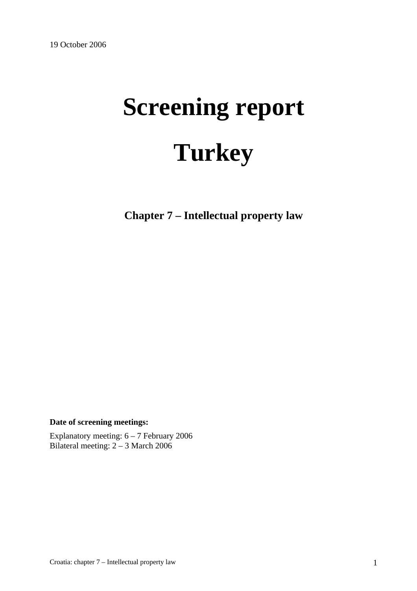# **Screening report Turkey**

**Chapter 7 – Intellectual property law** 

**Date of screening meetings:**

Explanatory meeting: 6 – 7 February 2006 Bilateral meeting: 2 – 3 March 2006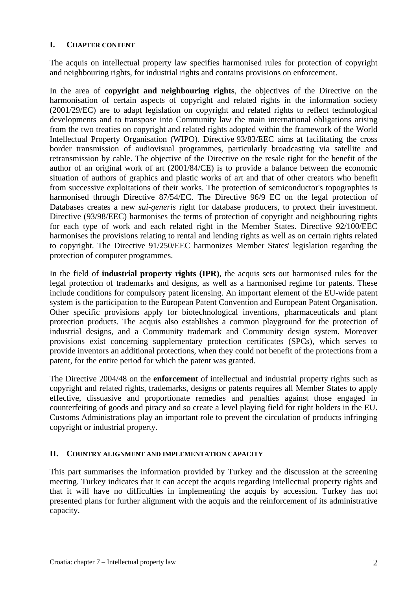#### **I. CHAPTER CONTENT**

The acquis on intellectual property law specifies harmonised rules for protection of copyright and neighbouring rights, for industrial rights and contains provisions on enforcement.

In the area of **copyright and neighbouring rights**, the objectives of the Directive on the harmonisation of certain aspects of copyright and related rights in the information society (2001/29/EC) are to adapt legislation on copyright and related rights to reflect technological developments and to transpose into Community law the main international obligations arising from the two treaties on copyright and related rights adopted within the framework of the World Intellectual Property Organisation (WIPO). Directive 93/83/EEC aims at facilitating the cross border transmission of audiovisual programmes, particularly broadcasting via satellite and retransmission by cable. The objective of the Directive on the resale right for the benefit of the author of an original work of art (2001/84/CE) is to provide a balance between the economic situation of authors of graphics and plastic works of art and that of other creators who benefit from successive exploitations of their works. The protection of semiconductor's topographies is harmonised through Directive 87/54/EC. The Directive 96/9 EC on the legal protection of Databases creates a new *sui-generis* right for database producers, to protect their investment. Directive (93/98/EEC) harmonises the terms of protection of copyright and neighbouring rights for each type of work and each related right in the Member States. Directive 92/100/EEC harmonises the provisions relating to rental and lending rights as well as on certain rights related to copyright. The Directive 91/250/EEC harmonizes Member States' legislation regarding the protection of computer programmes.

In the field of **industrial property rights (IPR)**, the acquis sets out harmonised rules for the legal protection of trademarks and designs, as well as a harmonised regime for patents. These include conditions for compulsory patent licensing. An important element of the EU-wide patent system is the participation to the European Patent Convention and European Patent Organisation. Other specific provisions apply for biotechnological inventions, pharmaceuticals and plant protection products. The acquis also establishes a common playground for the protection of industrial designs, and a Community trademark and Community design system. Moreover provisions exist concerning supplementary protection certificates (SPCs), which serves to provide inventors an additional protections, when they could not benefit of the protections from a patent, for the entire period for which the patent was granted.

The Directive 2004/48 on the **enforcement** of intellectual and industrial property rights such as copyright and related rights, trademarks, designs or patents requires all Member States to apply effective, dissuasive and proportionate remedies and penalties against those engaged in counterfeiting of goods and piracy and so create a level playing field for right holders in the EU. Customs Administrations play an important role to prevent the circulation of products infringing copyright or industrial property.

## **II. COUNTRY ALIGNMENT AND IMPLEMENTATION CAPACITY**

This part summarises the information provided by Turkey and the discussion at the screening meeting. Turkey indicates that it can accept the acquis regarding intellectual property rights and that it will have no difficulties in implementing the acquis by accession. Turkey has not presented plans for further alignment with the acquis and the reinforcement of its administrative capacity.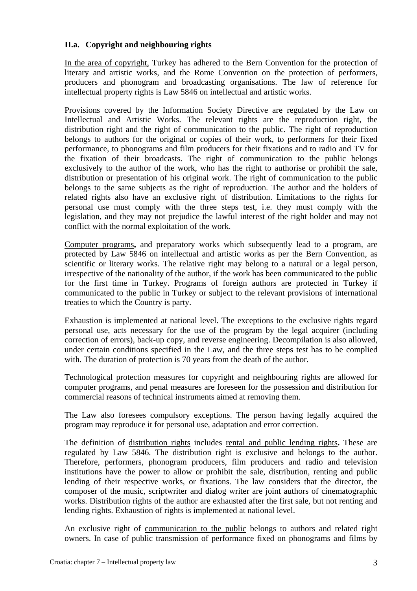#### **II.a. Copyright and neighbouring rights**

In the area of copyright, Turkey has adhered to the Bern Convention for the protection of literary and artistic works, and the Rome Convention on the protection of performers, producers and phonogram and broadcasting organisations. The law of reference for intellectual property rights is Law 5846 on intellectual and artistic works.

Provisions covered by the Information Society Directive are regulated by the Law on Intellectual and Artistic Works. The relevant rights are the reproduction right, the distribution right and the right of communication to the public. The right of reproduction belongs to authors for the original or copies of their work, to performers for their fixed performance, to phonograms and film producers for their fixations and to radio and TV for the fixation of their broadcasts. The right of communication to the public belongs exclusively to the author of the work, who has the right to authorise or prohibit the sale, distribution or presentation of his original work. The right of communication to the public belongs to the same subjects as the right of reproduction. The author and the holders of related rights also have an exclusive right of distribution. Limitations to the rights for personal use must comply with the three steps test, i.e. they must comply with the legislation, and they may not prejudice the lawful interest of the right holder and may not conflict with the normal exploitation of the work.

Computer programs**,** and preparatory works which subsequently lead to a program, are protected by Law 5846 on intellectual and artistic works as per the Bern Convention, as scientific or literary works. The relative right may belong to a natural or a legal person, irrespective of the nationality of the author, if the work has been communicated to the public for the first time in Turkey. Programs of foreign authors are protected in Turkey if communicated to the public in Turkey or subject to the relevant provisions of international treaties to which the Country is party.

Exhaustion is implemented at national level. The exceptions to the exclusive rights regard personal use, acts necessary for the use of the program by the legal acquirer (including correction of errors), back-up copy, and reverse engineering. Decompilation is also allowed, under certain conditions specified in the Law, and the three steps test has to be complied with. The duration of protection is 70 years from the death of the author.

Technological protection measures for copyright and neighbouring rights are allowed for computer programs, and penal measures are foreseen for the possession and distribution for commercial reasons of technical instruments aimed at removing them.

The Law also foresees compulsory exceptions. The person having legally acquired the program may reproduce it for personal use, adaptation and error correction.

The definition of distribution rights includes rental and public lending rights**.** These are regulated by Law 5846. The distribution right is exclusive and belongs to the author. Therefore, performers, phonogram producers, film producers and radio and television institutions have the power to allow or prohibit the sale, distribution, renting and public lending of their respective works, or fixations. The law considers that the director, the composer of the music, scriptwriter and dialog writer are joint authors of cinematographic works. Distribution rights of the author are exhausted after the first sale, but not renting and lending rights. Exhaustion of rights is implemented at national level.

An exclusive right of communication to the public belongs to authors and related right owners. In case of public transmission of performance fixed on phonograms and films by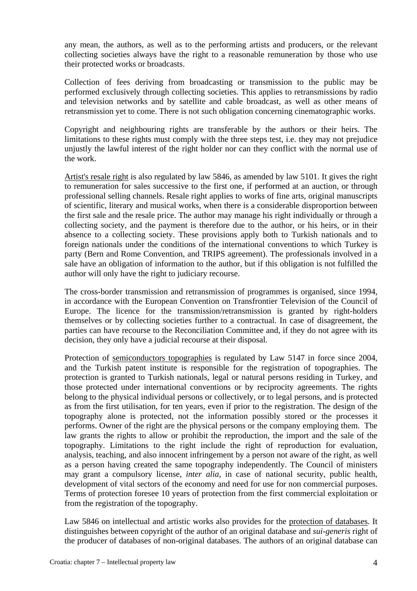any mean, the authors, as well as to the performing artists and producers, or the relevant collecting societies always have the right to a reasonable remuneration by those who use their protected works or broadcasts.

Collection of fees deriving from broadcasting or transmission to the public may be performed exclusively through collecting societies. This applies to retransmissions by radio and television networks and by satellite and cable broadcast, as well as other means of retransmission yet to come. There is not such obligation concerning cinematographic works.

Copyright and neighbouring rights are transferable by the authors or their heirs. The limitations to these rights must comply with the three steps test, i.e. they may not prejudice unjustly the lawful interest of the right holder nor can they conflict with the normal use of the work.

Artist's resale right is also regulated by law 5846, as amended by law 5101. It gives the right to remuneration for sales successive to the first one, if performed at an auction, or through professional selling channels. Resale right applies to works of fine arts, original manuscripts of scientific, literary and musical works, when there is a considerable disproportion between the first sale and the resale price. The author may manage his right individually or through a collecting society, and the payment is therefore due to the author, or his heirs, or in their absence to a collecting society. These provisions apply both to Turkish nationals and to foreign nationals under the conditions of the international conventions to which Turkey is party (Bern and Rome Convention, and TRIPS agreement). The professionals involved in a sale have an obligation of information to the author, but if this obligation is not fulfilled the author will only have the right to judiciary recourse.

The cross-border transmission and retransmission of programmes is organised, since 1994, in accordance with the European Convention on Transfrontier Television of the Council of Europe. The licence for the transmission/retransmission is granted by right-holders themselves or by collecting societies further to a contractual. In case of disagreement, the parties can have recourse to the Reconciliation Committee and, if they do not agree with its decision, they only have a judicial recourse at their disposal.

Protection of semiconductors topographies is regulated by Law 5147 in force since 2004, and the Turkish patent institute is responsible for the registration of topographies. The protection is granted to Turkish nationals, legal or natural persons residing in Turkey, and those protected under international conventions or by reciprocity agreements. The rights belong to the physical individual persons or collectively, or to legal persons, and is protected as from the first utilisation, for ten years, even if prior to the registration. The design of the topography alone is protected, not the information possibly stored or the processes it performs. Owner of the right are the physical persons or the company employing them. The law grants the rights to allow or prohibit the reproduction, the import and the sale of the topography. Limitations to the right include the right of reproduction for evaluation, analysis, teaching, and also innocent infringement by a person not aware of the right, as well as a person having created the same topography independently. The Council of ministers may grant a compulsory license, *inter alia*, in case of national security, public health, development of vital sectors of the economy and need for use for non commercial purposes. Terms of protection foresee 10 years of protection from the first commercial exploitation or from the registration of the topography.

Law 5846 on intellectual and artistic works also provides for the protection of databases. It distinguishes between copyright of the author of an original database and *sui-generis* right of the producer of databases of non-original databases. The authors of an original database can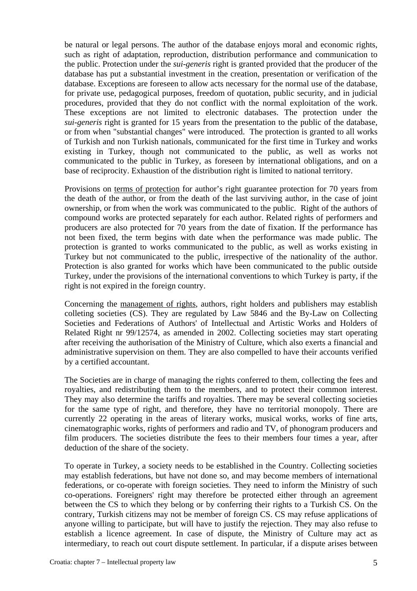be natural or legal persons. The author of the database enjoys moral and economic rights, such as right of adaptation, reproduction, distribution performance and communication to the public. Protection under the *sui-generis* right is granted provided that the producer of the database has put a substantial investment in the creation, presentation or verification of the database. Exceptions are foreseen to allow acts necessary for the normal use of the database, for private use, pedagogical purposes, freedom of quotation, public security, and in judicial procedures, provided that they do not conflict with the normal exploitation of the work. These exceptions are not limited to electronic databases. The protection under the *sui-generis* right is granted for 15 years from the presentation to the public of the database, or from when "substantial changes" were introduced. The protection is granted to all works of Turkish and non Turkish nationals, communicated for the first time in Turkey and works existing in Turkey, though not communicated to the public, as well as works not communicated to the public in Turkey, as foreseen by international obligations, and on a base of reciprocity. Exhaustion of the distribution right is limited to national territory.

Provisions on terms of protection for author's right guarantee protection for 70 years from the death of the author, or from the death of the last surviving author, in the case of joint ownership, or from when the work was communicated to the public. Right of the authors of compound works are protected separately for each author. Related rights of performers and producers are also protected for 70 years from the date of fixation. If the performance has not been fixed, the term begins with date when the performance was made public. The protection is granted to works communicated to the public, as well as works existing in Turkey but not communicated to the public, irrespective of the nationality of the author. Protection is also granted for works which have been communicated to the public outside Turkey, under the provisions of the international conventions to which Turkey is party, if the right is not expired in the foreign country.

Concerning the management of rights, authors, right holders and publishers may establish colleting societies (CS). They are regulated by Law 5846 and the By-Law on Collecting Societies and Federations of Authors' of Intellectual and Artistic Works and Holders of Related Right nr 99/12574, as amended in 2002. Collecting societies may start operating after receiving the authorisation of the Ministry of Culture, which also exerts a financial and administrative supervision on them. They are also compelled to have their accounts verified by a certified accountant.

The Societies are in charge of managing the rights conferred to them, collecting the fees and royalties, and redistributing them to the members, and to protect their common interest. They may also determine the tariffs and royalties. There may be several collecting societies for the same type of right, and therefore, they have no territorial monopoly. There are currently 22 operating in the areas of literary works, musical works, works of fine arts, cinematographic works, rights of performers and radio and TV, of phonogram producers and film producers. The societies distribute the fees to their members four times a year, after deduction of the share of the society.

To operate in Turkey, a society needs to be established in the Country. Collecting societies may establish federations, but have not done so, and may become members of international federations, or co-operate with foreign societies. They need to inform the Ministry of such co-operations. Foreigners' right may therefore be protected either through an agreement between the CS to which they belong or by conferring their rights to a Turkish CS. On the contrary, Turkish citizens may not be member of foreign CS. CS may refuse applications of anyone willing to participate, but will have to justify the rejection. They may also refuse to establish a licence agreement. In case of dispute, the Ministry of Culture may act as intermediary, to reach out court dispute settlement. In particular, if a dispute arises between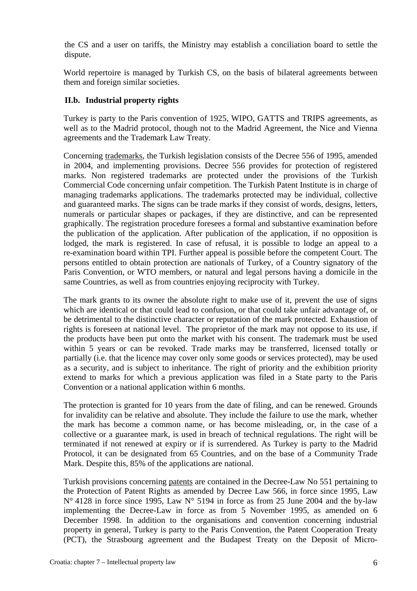the CS and a user on tariffs, the Ministry may establish a conciliation board to settle the dispute.

World repertoire is managed by Turkish CS, on the basis of bilateral agreements between them and foreign similar societies.

## **II.b. Industrial property rights**

Turkey is party to the Paris convention of 1925, WIPO, GATTS and TRIPS agreements, as well as to the Madrid protocol, though not to the Madrid Agreement, the Nice and Vienna agreements and the Trademark Law Treaty.

Concerning trademarks, the Turkish legislation consists of the Decree 556 of 1995, amended in 2004, and implementing provisions. Decree 556 provides for protection of registered marks. Non registered trademarks are protected under the provisions of the Turkish Commercial Code concerning unfair competition. The Turkish Patent Institute is in charge of managing trademarks applications. The trademarks protected may be individual, collective and guaranteed marks. The signs can be trade marks if they consist of words, designs, letters, numerals or particular shapes or packages, if they are distinctive, and can be represented graphically. The registration procedure foresees a formal and substantive examination before the publication of the application. After publication of the application, if no opposition is lodged, the mark is registered. In case of refusal, it is possible to lodge an appeal to a re-examination board within TPI. Further appeal is possible before the competent Court. The persons entitled to obtain protection are nationals of Turkey, of a Country signatory of the Paris Convention, or WTO members, or natural and legal persons having a domicile in the same Countries, as well as from countries enjoying reciprocity with Turkey.

The mark grants to its owner the absolute right to make use of it, prevent the use of signs which are identical or that could lead to confusion, or that could take unfair advantage of, or be detrimental to the distinctive character or reputation of the mark protected. Exhaustion of rights is foreseen at national level. The proprietor of the mark may not oppose to its use, if the products have been put onto the market with his consent. The trademark must be used within 5 years or can be revoked. Trade marks may be transferred, licensed totally or partially (i.e. that the licence may cover only some goods or services protected), may be used as a security, and is subject to inheritance. The right of priority and the exhibition priority extend to marks for which a previous application was filed in a State party to the Paris Convention or a national application within 6 months.

The protection is granted for 10 years from the date of filing, and can be renewed. Grounds for invalidity can be relative and absolute. They include the failure to use the mark, whether the mark has become a common name, or has become misleading, or, in the case of a collective or a guarantee mark, is used in breach of technical regulations. The right will be terminated if not renewed at expiry or if is surrendered. As Turkey is party to the Madrid Protocol, it can be designated from 65 Countries, and on the base of a Community Trade Mark. Despite this, 85% of the applications are national.

Turkish provisions concerning patents are contained in the Decree-Law No 551 pertaining to the Protection of Patent Rights as amended by Decree Law 566, in force since 1995, Law N° 4128 in force since 1995, Law N° 5194 in force as from 25 June 2004 and the by-law implementing the Decree-Law in force as from 5 November 1995, as amended on 6 December 1998. In addition to the organisations and convention concerning industrial property in general, Turkey is party to the Paris Convention, the Patent Cooperation Treaty (PCT), the Strasbourg agreement and the Budapest Treaty on the Deposit of Micro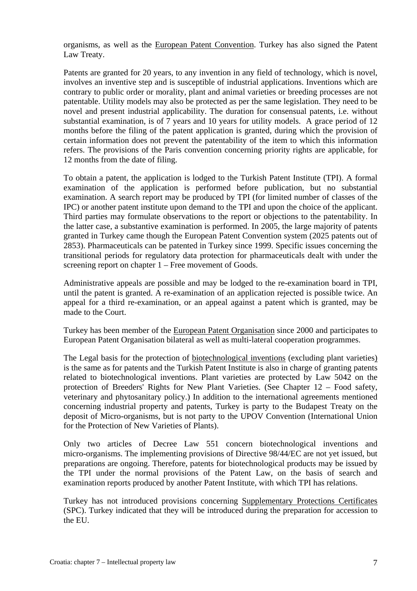organisms, as well as the European Patent Convention. Turkey has also signed the Patent Law Treaty.

Patents are granted for 20 years, to any invention in any field of technology, which is novel, involves an inventive step and is susceptible of industrial applications. Inventions which are contrary to public order or morality, plant and animal varieties or breeding processes are not patentable. Utility models may also be protected as per the same legislation. They need to be novel and present industrial applicability. The duration for consensual patents, i.e. without substantial examination, is of 7 years and 10 years for utility models. A grace period of 12 months before the filing of the patent application is granted, during which the provision of certain information does not prevent the patentability of the item to which this information refers. The provisions of the Paris convention concerning priority rights are applicable, for 12 months from the date of filing.

To obtain a patent, the application is lodged to the Turkish Patent Institute (TPI). A formal examination of the application is performed before publication, but no substantial examination. A search report may be produced by TPI (for limited number of classes of the IPC) or another patent institute upon demand to the TPI and upon the choice of the applicant. Third parties may formulate observations to the report or objections to the patentability. In the latter case, a substantive examination is performed. In 2005, the large majority of patents granted in Turkey came though the European Patent Convention system (2025 patents out of 2853). Pharmaceuticals can be patented in Turkey since 1999. Specific issues concerning the transitional periods for regulatory data protection for pharmaceuticals dealt with under the screening report on chapter 1 – Free movement of Goods.

Administrative appeals are possible and may be lodged to the re-examination board in TPI, until the patent is granted. A re-examination of an application rejected is possible twice. An appeal for a third re-examination, or an appeal against a patent which is granted, may be made to the Court.

Turkey has been member of the European Patent Organisation since 2000 and participates to European Patent Organisation bilateral as well as multi-lateral cooperation programmes.

The Legal basis for the protection of biotechnological inventions (excluding plant varieties) is the same as for patents and the Turkish Patent Institute is also in charge of granting patents related to biotechnological inventions. Plant varieties are protected by Law 5042 on the protection of Breeders' Rights for New Plant Varieties. (See Chapter 12 – Food safety, veterinary and phytosanitary policy.) In addition to the international agreements mentioned concerning industrial property and patents, Turkey is party to the Budapest Treaty on the deposit of Micro-organisms, but is not party to the UPOV Convention (International Union for the Protection of New Varieties of Plants).

Only two articles of Decree Law 551 concern biotechnological inventions and micro-organisms. The implementing provisions of Directive 98/44/EC are not yet issued, but preparations are ongoing. Therefore, patents for biotechnological products may be issued by the TPI under the normal provisions of the Patent Law, on the basis of search and examination reports produced by another Patent Institute, with which TPI has relations.

Turkey has not introduced provisions concerning Supplementary Protections Certificates (SPC). Turkey indicated that they will be introduced during the preparation for accession to the EU.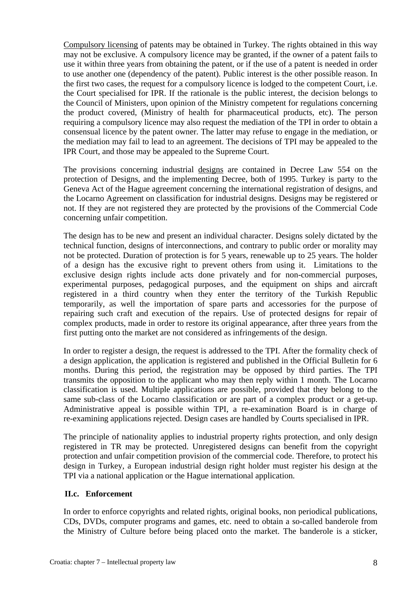Compulsory licensing of patents may be obtained in Turkey. The rights obtained in this way may not be exclusive. A compulsory licence may be granted, if the owner of a patent fails to use it within three years from obtaining the patent, or if the use of a patent is needed in order to use another one (dependency of the patent). Public interest is the other possible reason. In the first two cases, the request for a compulsory licence is lodged to the competent Court, i.e. the Court specialised for IPR. If the rationale is the public interest, the decision belongs to the Council of Ministers, upon opinion of the Ministry competent for regulations concerning the product covered, (Ministry of health for pharmaceutical products, etc). The person requiring a compulsory licence may also request the mediation of the TPI in order to obtain a consensual licence by the patent owner. The latter may refuse to engage in the mediation, or the mediation may fail to lead to an agreement. The decisions of TPI may be appealed to the IPR Court, and those may be appealed to the Supreme Court.

The provisions concerning industrial designs are contained in Decree Law 554 on the protection of Designs, and the implementing Decree, both of 1995. Turkey is party to the Geneva Act of the Hague agreement concerning the international registration of designs, and the Locarno Agreement on classification for industrial designs. Designs may be registered or not. If they are not registered they are protected by the provisions of the Commercial Code concerning unfair competition.

The design has to be new and present an individual character. Designs solely dictated by the technical function, designs of interconnections, and contrary to public order or morality may not be protected. Duration of protection is for 5 years, renewable up to 25 years. The holder of a design has the excusive right to prevent others from using it. Limitations to the exclusive design rights include acts done privately and for non-commercial purposes, experimental purposes, pedagogical purposes, and the equipment on ships and aircraft registered in a third country when they enter the territory of the Turkish Republic temporarily, as well the importation of spare parts and accessories for the purpose of repairing such craft and execution of the repairs. Use of protected designs for repair of complex products, made in order to restore its original appearance, after three years from the first putting onto the market are not considered as infringements of the design.

In order to register a design, the request is addressed to the TPI. After the formality check of a design application, the application is registered and published in the Official Bulletin for 6 months. During this period, the registration may be opposed by third parties. The TPI transmits the opposition to the applicant who may then reply within 1 month. The Locarno classification is used. Multiple applications are possible, provided that they belong to the same sub-class of the Locarno classification or are part of a complex product or a get-up. Administrative appeal is possible within TPI, a re-examination Board is in charge of re-examining applications rejected. Design cases are handled by Courts specialised in IPR.

The principle of nationality applies to industrial property rights protection, and only design registered in TR may be protected. Unregistered designs can benefit from the copyright protection and unfair competition provision of the commercial code. Therefore, to protect his design in Turkey, a European industrial design right holder must register his design at the TPI via a national application or the Hague international application.

## **II.c. Enforcement**

In order to enforce copyrights and related rights, original books, non periodical publications, CDs, DVDs, computer programs and games, etc. need to obtain a so-called banderole from the Ministry of Culture before being placed onto the market. The banderole is a sticker,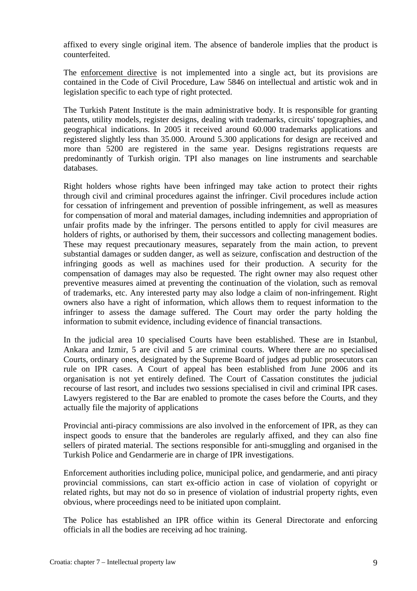affixed to every single original item. The absence of banderole implies that the product is counterfeited.

The enforcement directive is not implemented into a single act, but its provisions are contained in the Code of Civil Procedure, Law 5846 on intellectual and artistic wok and in legislation specific to each type of right protected.

The Turkish Patent Institute is the main administrative body. It is responsible for granting patents, utility models, register designs, dealing with trademarks, circuits' topographies, and geographical indications. In 2005 it received around 60.000 trademarks applications and registered slightly less than 35.000. Around 5.300 applications for design are received and more than 5200 are registered in the same year. Designs registrations requests are predominantly of Turkish origin. TPI also manages on line instruments and searchable databases.

Right holders whose rights have been infringed may take action to protect their rights through civil and criminal procedures against the infringer. Civil procedures include action for cessation of infringement and prevention of possible infringement, as well as measures for compensation of moral and material damages, including indemnities and appropriation of unfair profits made by the infringer. The persons entitled to apply for civil measures are holders of rights, or authorised by them, their successors and collecting management bodies. These may request precautionary measures, separately from the main action, to prevent substantial damages or sudden danger, as well as seizure, confiscation and destruction of the infringing goods as well as machines used for their production. A security for the compensation of damages may also be requested. The right owner may also request other preventive measures aimed at preventing the continuation of the violation, such as removal of trademarks, etc. Any interested party may also lodge a claim of non-infringement. Right owners also have a right of information, which allows them to request information to the infringer to assess the damage suffered. The Court may order the party holding the information to submit evidence, including evidence of financial transactions.

In the judicial area 10 specialised Courts have been established. These are in Istanbul, Ankara and Izmir, 5 are civil and 5 are criminal courts. Where there are no specialised Courts, ordinary ones, designated by the Supreme Board of judges ad public prosecutors can rule on IPR cases. A Court of appeal has been established from June 2006 and its organisation is not yet entirely defined. The Court of Cassation constitutes the judicial recourse of last resort, and includes two sessions specialised in civil and criminal IPR cases. Lawyers registered to the Bar are enabled to promote the cases before the Courts, and they actually file the majority of applications

Provincial anti-piracy commissions are also involved in the enforcement of IPR, as they can inspect goods to ensure that the banderoles are regularly affixed, and they can also fine sellers of pirated material. The sections responsible for anti-smuggling and organised in the Turkish Police and Gendarmerie are in charge of IPR investigations.

Enforcement authorities including police, municipal police, and gendarmerie, and anti piracy provincial commissions, can start ex-officio action in case of violation of copyright or related rights, but may not do so in presence of violation of industrial property rights, even obvious, where proceedings need to be initiated upon complaint.

The Police has established an IPR office within its General Directorate and enforcing officials in all the bodies are receiving ad hoc training.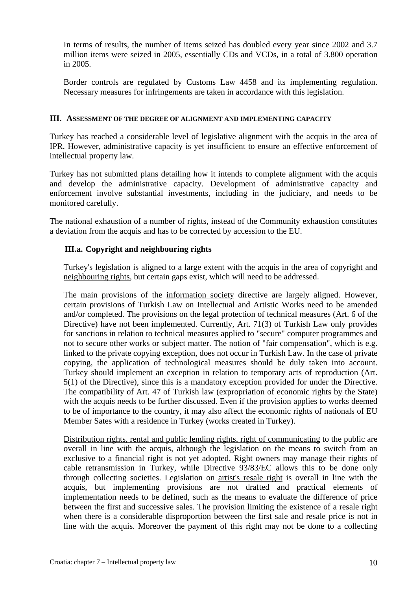In terms of results, the number of items seized has doubled every year since 2002 and 3.7 million items were seized in 2005, essentially CDs and VCDs, in a total of 3.800 operation in 2005.

Border controls are regulated by Customs Law 4458 and its implementing regulation. Necessary measures for infringements are taken in accordance with this legislation.

#### **III. ASSESSMENT OF THE DEGREE OF ALIGNMENT AND IMPLEMENTING CAPACITY**

Turkey has reached a considerable level of legislative alignment with the acquis in the area of IPR. However, administrative capacity is yet insufficient to ensure an effective enforcement of intellectual property law.

Turkey has not submitted plans detailing how it intends to complete alignment with the acquis and develop the administrative capacity. Development of administrative capacity and enforcement involve substantial investments, including in the judiciary, and needs to be monitored carefully.

The national exhaustion of a number of rights, instead of the Community exhaustion constitutes a deviation from the acquis and has to be corrected by accession to the EU.

## **III.a. Copyright and neighbouring rights**

Turkey's legislation is aligned to a large extent with the acquis in the area of copyright and neighbouring rights, but certain gaps exist, which will need to be addressed.

The main provisions of the information society directive are largely aligned. However, certain provisions of Turkish Law on Intellectual and Artistic Works need to be amended and/or completed. The provisions on the legal protection of technical measures (Art. 6 of the Directive) have not been implemented. Currently, Art. 71(3) of Turkish Law only provides for sanctions in relation to technical measures applied to "secure" computer programmes and not to secure other works or subject matter. The notion of "fair compensation", which is e.g. linked to the private copying exception, does not occur in Turkish Law. In the case of private copying, the application of technological measures should be duly taken into account. Turkey should implement an exception in relation to temporary acts of reproduction (Art. 5(1) of the Directive), since this is a mandatory exception provided for under the Directive. The compatibility of Art. 47 of Turkish law (expropriation of economic rights by the State) with the acquis needs to be further discussed. Even if the provision applies to works deemed to be of importance to the country, it may also affect the economic rights of nationals of EU Member Sates with a residence in Turkey (works created in Turkey).

Distribution rights, rental and public lending rights, right of communicating to the public are overall in line with the acquis, although the legislation on the means to switch from an exclusive to a financial right is not yet adopted. Right owners may manage their rights of cable retransmission in Turkey, while Directive 93/83/EC allows this to be done only through collecting societies. Legislation on artist's resale right is overall in line with the acquis, but implementing provisions are not drafted and practical elements of implementation needs to be defined, such as the means to evaluate the difference of price between the first and successive sales. The provision limiting the existence of a resale right when there is a considerable disproportion between the first sale and resale price is not in line with the acquis. Moreover the payment of this right may not be done to a collecting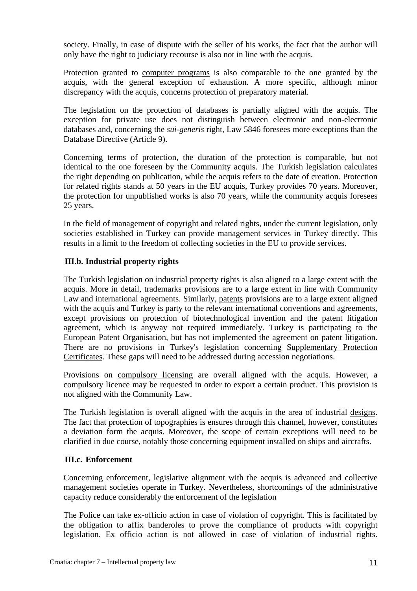society. Finally, in case of dispute with the seller of his works, the fact that the author will only have the right to judiciary recourse is also not in line with the acquis.

Protection granted to computer programs is also comparable to the one granted by the acquis, with the general exception of exhaustion. A more specific, although minor discrepancy with the acquis, concerns protection of preparatory material.

The legislation on the protection of databases is partially aligned with the acquis. The exception for private use does not distinguish between electronic and non-electronic databases and, concerning the *sui-generis* right, Law 5846 foresees more exceptions than the Database Directive (Article 9).

Concerning terms of protection, the duration of the protection is comparable, but not identical to the one foreseen by the Community acquis. The Turkish legislation calculates the right depending on publication, while the acquis refers to the date of creation. Protection for related rights stands at 50 years in the EU acquis, Turkey provides 70 years. Moreover, the protection for unpublished works is also 70 years, while the community acquis foresees 25 years.

In the field of management of copyright and related rights, under the current legislation, only societies established in Turkey can provide management services in Turkey directly. This results in a limit to the freedom of collecting societies in the EU to provide services.

#### **III.b. Industrial property rights**

The Turkish legislation on industrial property rights is also aligned to a large extent with the acquis. More in detail, trademarks provisions are to a large extent in line with Community Law and international agreements. Similarly, patents provisions are to a large extent aligned with the acquis and Turkey is party to the relevant international conventions and agreements, except provisions on protection of biotechnological invention and the patent litigation agreement, which is anyway not required immediately. Turkey is participating to the European Patent Organisation, but has not implemented the agreement on patent litigation. There are no provisions in Turkey's legislation concerning Supplementary Protection Certificates. These gaps will need to be addressed during accession negotiations.

Provisions on compulsory licensing are overall aligned with the acquis. However, a compulsory licence may be requested in order to export a certain product. This provision is not aligned with the Community Law.

The Turkish legislation is overall aligned with the acquis in the area of industrial designs. The fact that protection of topographies is ensures through this channel, however, constitutes a deviation form the acquis. Moreover, the scope of certain exceptions will need to be clarified in due course, notably those concerning equipment installed on ships and aircrafts.

#### **III.c. Enforcement**

Concerning enforcement, legislative alignment with the acquis is advanced and collective management societies operate in Turkey. Nevertheless, shortcomings of the administrative capacity reduce considerably the enforcement of the legislation

The Police can take ex-officio action in case of violation of copyright. This is facilitated by the obligation to affix banderoles to prove the compliance of products with copyright legislation. Ex officio action is not allowed in case of violation of industrial rights.